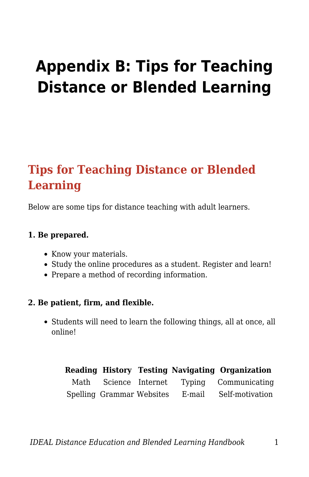# **Appendix B: Tips for Teaching Distance or Blended Learning**

# **Tips for Teaching Distance or Blended Learning**

Below are some tips for distance teaching with adult learners.

#### **1. Be prepared.**

- Know your materials.
- Study the online procedures as a student. Register and learn!
- Prepare a method of recording information.

#### **2. Be patient, firm, and flexible.**

• Students will need to learn the following things, all at once, all online!

|                           |        | Reading History Testing Navigating Organization |
|---------------------------|--------|-------------------------------------------------|
| Math – Science Internet   |        | Typing Communicating                            |
| Spelling Grammar Websites | E-mail | Self-motivation                                 |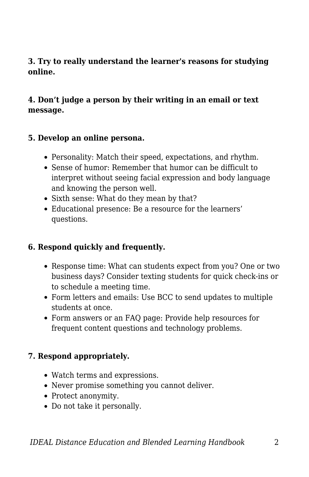#### **3. Try to really understand the learner's reasons for studying online.**

#### **4. Don't judge a person by their writing in an email or text message.**

#### **5. Develop an online persona.**

- Personality: Match their speed, expectations, and rhythm.
- Sense of humor: Remember that humor can be difficult to interpret without seeing facial expression and body language and knowing the person well.
- Sixth sense: What do they mean by that?
- Educational presence: Be a resource for the learners' questions.

#### **6. Respond quickly and frequently.**

- Response time: What can students expect from you? One or two business days? Consider texting students for quick check-ins or to schedule a meeting time.
- Form letters and emails: Use BCC to send updates to multiple students at once.
- Form answers or an FAQ page: Provide help resources for frequent content questions and technology problems.

#### **7. Respond appropriately.**

- Watch terms and expressions.
- Never promise something you cannot deliver.
- Protect anonymity.
- Do not take it personally.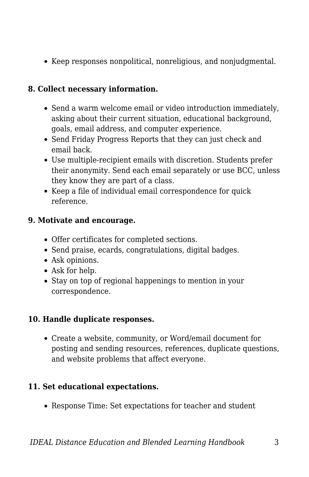Keep responses nonpolitical, nonreligious, and nonjudgmental.

## **8. Collect necessary information.**

- Send a warm welcome email or video introduction immediately, asking about their current situation, educational background, goals, email address, and computer experience.
- Send Friday Progress Reports that they can just check and email back.
- Use multiple-recipient emails with discretion. Students prefer their anonymity. Send each email separately or use BCC, unless they know they are part of a class.
- Keep a file of individual email correspondence for quick reference.

#### **9. Motivate and encourage.**

- Offer certificates for completed sections.
- Send praise, ecards, congratulations, digital badges.
- Ask opinions.
- Ask for help.
- Stay on top of regional happenings to mention in your correspondence.

#### **10. Handle duplicate responses.**

Create a website, community, or Word/email document for posting and sending resources, references, duplicate questions, and website problems that affect everyone.

#### **11. Set educational expectations.**

Response Time: Set expectations for teacher and student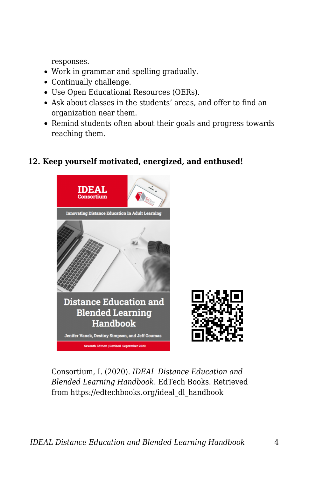responses.

- Work in grammar and spelling gradually.
- Continually challenge.
- Use Open Educational Resources (OERs).
- Ask about classes in the students' areas, and offer to find an organization near them.
- Remind students often about their goals and progress towards reaching them.

### **12. Keep yourself motivated, energized, and enthused!**



Consortium, I. (2020). *IDEAL Distance Education and Blended Learning Handbook*. EdTech Books. Retrieved from https://edtechbooks.org/ideal\_dl\_handbook